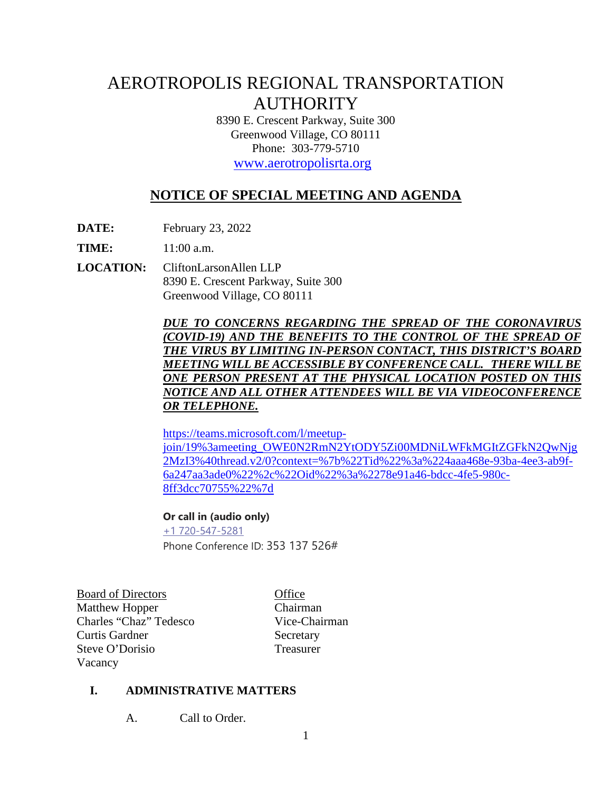# AEROTROPOLIS REGIONAL TRANSPORTATION **AUTHORITY**

8390 E. Crescent Parkway, Suite 300 Greenwood Village, CO 80111 Phone: 303-779-5710

[www.aerotropolisrta.org](http://www.aerotropolisrta.org/) 

## **NOTICE OF SPECIAL MEETING AND AGENDA**

**DATE:** February 23, 2022

**TIME:** 11:00 a.m.

**LOCATION:** CliftonLarsonAllen LLP 8390 E. Crescent Parkway, Suite 300 Greenwood Village, CO 80111

> *DUE TO CONCERNS REGARDING THE SPREAD OF THE CORONAVIRUS (COVID-19) AND THE BENEFITS TO THE CONTROL OF THE SPREAD OF THE VIRUS BY LIMITING IN-PERSON CONTACT, THIS DISTRICT'S BOARD MEETING WILL BE ACCESSIBLE BY CONFERENCE CALL. THERE WILLBE ONE PERSON PRESENT AT THE PHYSICAL LOCATION POSTED ON THIS NOTICE AND ALL OTHER ATTENDEES WILL BE VIA VIDEOCONFERENCE OR TELEPHONE.*

[https://teams.microsoft.com/l/meetup-](https://teams.microsoft.com/l/meetup-join/19%3ameeting_OWE0N2RmN2YtODY5Zi00MDNiLWFkMGItZGFkN2QwNjg2MzI3%40thread.v2/0?context=%7b%22Tid%22%3a%224aaa468e-93ba-4ee3-ab9f-6a247aa3ade0%22%2c%22Oid%22%3a%2278e91a46-bdcc-4fe5-980c-8ff3dcc70755%22%7d)

[join/19%3ameeting\\_OWE0N2RmN2YtODY5Zi00MDNiLWFkMGItZGFkN2QwNjg](https://teams.microsoft.com/l/meetup-join/19%3ameeting_OWE0N2RmN2YtODY5Zi00MDNiLWFkMGItZGFkN2QwNjg2MzI3%40thread.v2/0?context=%7b%22Tid%22%3a%224aaa468e-93ba-4ee3-ab9f-6a247aa3ade0%22%2c%22Oid%22%3a%2278e91a46-bdcc-4fe5-980c-8ff3dcc70755%22%7d) [2MzI3%40thread.v2/0?context=%7b%22Tid%22%3a%224aaa468e-93ba-4ee3-ab9f-](https://teams.microsoft.com/l/meetup-join/19%3ameeting_OWE0N2RmN2YtODY5Zi00MDNiLWFkMGItZGFkN2QwNjg2MzI3%40thread.v2/0?context=%7b%22Tid%22%3a%224aaa468e-93ba-4ee3-ab9f-6a247aa3ade0%22%2c%22Oid%22%3a%2278e91a46-bdcc-4fe5-980c-8ff3dcc70755%22%7d)[6a247aa3ade0%22%2c%22Oid%22%3a%2278e91a46-bdcc-4fe5-980c-](https://teams.microsoft.com/l/meetup-join/19%3ameeting_OWE0N2RmN2YtODY5Zi00MDNiLWFkMGItZGFkN2QwNjg2MzI3%40thread.v2/0?context=%7b%22Tid%22%3a%224aaa468e-93ba-4ee3-ab9f-6a247aa3ade0%22%2c%22Oid%22%3a%2278e91a46-bdcc-4fe5-980c-8ff3dcc70755%22%7d)[8ff3dcc70755%22%7d](https://teams.microsoft.com/l/meetup-join/19%3ameeting_OWE0N2RmN2YtODY5Zi00MDNiLWFkMGItZGFkN2QwNjg2MzI3%40thread.v2/0?context=%7b%22Tid%22%3a%224aaa468e-93ba-4ee3-ab9f-6a247aa3ade0%22%2c%22Oid%22%3a%2278e91a46-bdcc-4fe5-980c-8ff3dcc70755%22%7d)

**Or call in (audio only)** [+1 720-547-5281](tel:+17205475281,,353137526#%20) Phone Conference ID: 353 137 526#

Board of Directors Office Matthew Hopper Chairman Charles "Chaz" Tedesco Vice-Chairman Curtis Gardner Secretary Steve O'Dorisio Treasurer Vacancy

#### **I. ADMINISTRATIVE MATTERS**

A. Call to Order.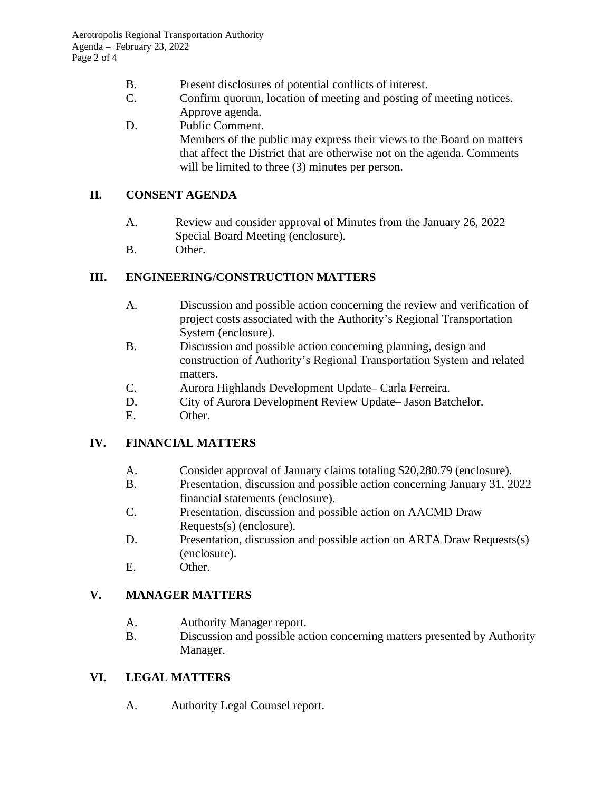- B. Present disclosures of potential conflicts of interest.
- C. Confirm quorum, location of meeting and posting of meeting notices. Approve agenda.
- D. Public Comment. Members of the public may express their views to the Board on matters that affect the District that are otherwise not on the agenda. Comments will be limited to three  $(3)$  minutes per person.

#### **II. CONSENT AGENDA**

- A. Review and consider approval of Minutes from the January 26, 2022 Special Board Meeting (enclosure).
- B. Other.

## **III. ENGINEERING/CONSTRUCTION MATTERS**

- A. Discussion and possible action concerning the review and verification of project costs associated with the Authority's Regional Transportation System (enclosure).
- B. Discussion and possible action concerning planning, design and construction of Authority's Regional Transportation System and related matters.
- C. Aurora Highlands Development Update– Carla Ferreira.
- D. City of Aurora Development Review Update– Jason Batchelor.
- E. Other.

## **IV. FINANCIAL MATTERS**

- A. Consider approval of January claims totaling \$20,280.79 (enclosure).
- B. Presentation, discussion and possible action concerning January 31, 2022 financial statements (enclosure).
- C. Presentation, discussion and possible action on AACMD Draw Requests(s) (enclosure).
- D. Presentation, discussion and possible action on ARTA Draw Requests(s) (enclosure).
- E. Other.

## **V. MANAGER MATTERS**

- A. Authority Manager report.
- B. Discussion and possible action concerning matters presented by Authority Manager.

## **VI. LEGAL MATTERS**

A. Authority Legal Counsel report.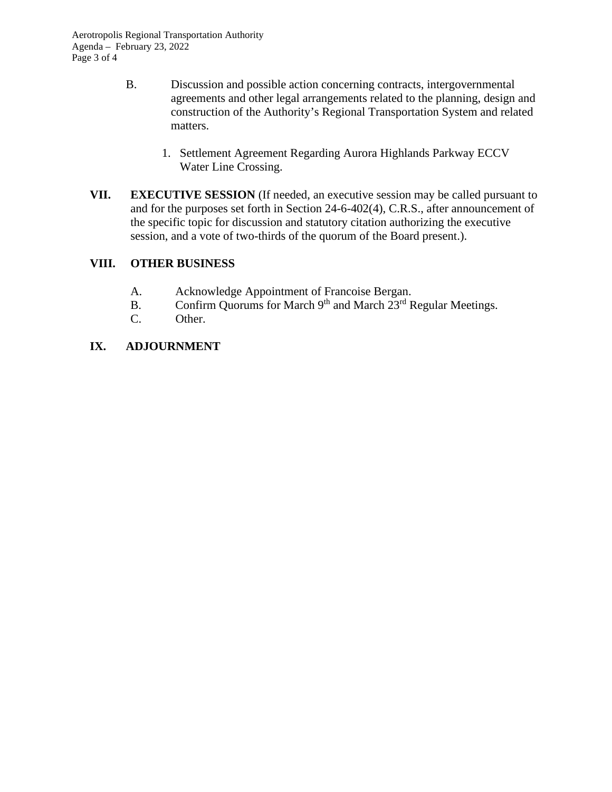- B. Discussion and possible action concerning contracts, intergovernmental agreements and other legal arrangements related to the planning, design and construction of the Authority's Regional Transportation System and related matters.
	- 1. Settlement Agreement Regarding Aurora Highlands Parkway ECCV Water Line Crossing.
- **VII. EXECUTIVE SESSION** (If needed, an executive session may be called pursuant to and for the purposes set forth in Section 24-6-402(4), C.R.S., after announcement of the specific topic for discussion and statutory citation authorizing the executive session, and a vote of two-thirds of the quorum of the Board present.).

#### **VIII. OTHER BUSINESS**

- A. Acknowledge Appointment of Francoise Bergan.
- B. Confirm Quorums for March  $9<sup>th</sup>$  and March  $23<sup>rd</sup>$  Regular Meetings.
- C. Other.

#### **IX. ADJOURNMENT**